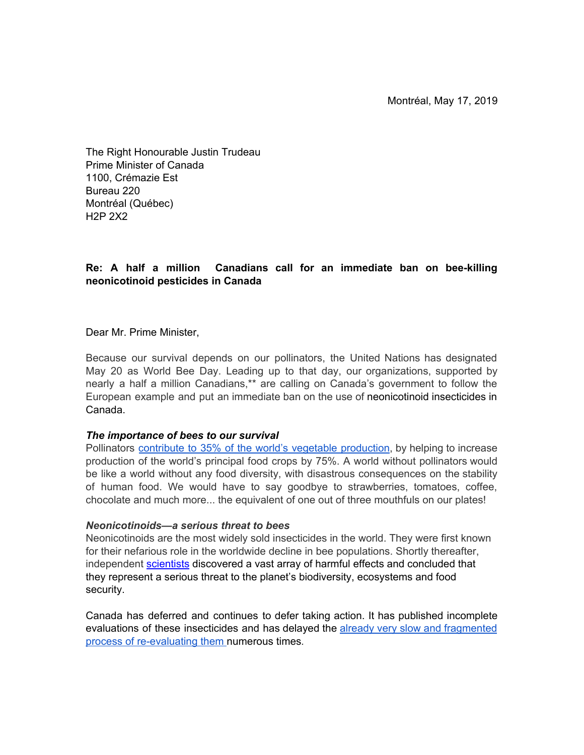The Right Honourable Justin Trudeau Prime Minister of Canada 1100, Crémazie Est Bureau 220 Montréal (Québec) H2P 2X2

# **Re: A half a million Canadians call for an immediate ban on bee-killing neonicotinoid pesticides in Canada**

Dear Mr. Prime Minister,

Because our survival depends on our pollinators, the United Nations has designated May 20 as World Bee Day. Leading up to that day, our organizations, supported by nearly a half a million Canadians,\*\* are calling on Canada's government to follow the European example and put an immediate ban on the use of neonicotinoid insecticides in Canada.

### *The importance of bees to our survival*

Pollinators contribute to 35% of the world's vegetable [production,](https://www.un.org/fr/events/beeday/background.shtml) by helping to increase production of the world's principal food crops by 75%. A world without pollinators would be like a world without any food diversity, with disastrous consequences on the stability of human food. We would have to say goodbye to strawberries, tomatoes, coffee, chocolate and much more... the equivalent of one out of three mouthfuls on our plates!

### *Neonicotinoids—a serious threat to bees*

Neonicotinoids are the most widely sold insecticides in the world. They were first known for their nefarious role in the worldwide decline in bee populations. Shortly thereafter, independent [scientists](http://www.tfsp.info/) discovered a vast array of harmful effects and concluded that they represent a serious threat to the planet's biodiversity, ecosystems and food security.

Canada has deferred and continues to defer taking action. It has published incomplete evaluations of these insecticides and has delayed the already very slow and [fragmented](https://policyoptions.irpp.org/fr/magazines/december-2017/sante-canada-et-limpact-des-pesticides-neonics/) process of [re-evaluatin](https://policyoptions.irpp.org/fr/magazines/december-2017/sante-canada-et-limpact-des-pesticides-neonics/)g them numerous times*.*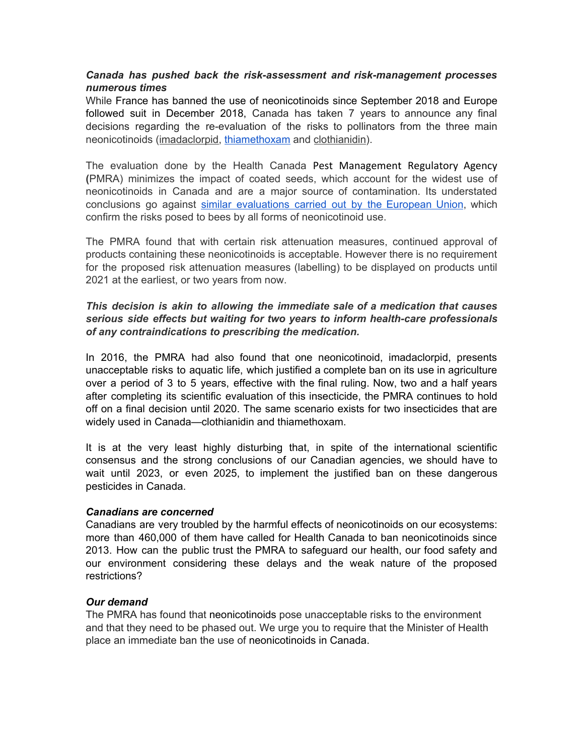## *Canada has pushed back the risk-assessment and risk-management processes numerous times*

While France has banned the use of neonicotinoids since September 2018 and Europe followed suit in December 2018, Canada has taken 7 years to announce any final decisions regarding the re-evaluation of the risks to pollinators from the three main neonicotinoids [\(](https://www.canada.ca/fr/sante-canada/services/securite-produits-consommation/rapports-publications/pesticides-lutte-antiparasitaire/decisions-mises-jour/decision-reevaluation/2019/imidaclopride.html#ann1)[imadaclorpid,](https://www.canada.ca/en/health-canada/services/consumer-product-safety/reports-publications/pesticides-pest-management/decisions-updates/reevaluation-decision/2019/imidacloprid.html) [thiamethoxam](https://www.canada.ca/en/health-canada/services/consumer-product-safety/reports-publications/pesticides-pest-management/decisions-updates/reevaluation-decision/2019/thiamethoxam.html) and [clothianidin\)](https://www.canada.ca/en/health-canada/services/consumer-product-safety/reports-publications/pesticides-pest-management/decisions-updates/reevaluation-decision/2019/clothianidin.html).

The evaluation done by the Health Canada Pest Management Regulatory Agency **(**PMRA) minimizes the impact of coated seeds, which account for the widest use of neonicotinoids in Canada and are a major source of contamination. Its understated conclusions go against similar [evaluations](https://www.efsa.europa.eu/en/press/news/180228) carried out by the European Union, which confirm the risks posed to bees by all forms of neonicotinoid use.

The PMRA found that with certain risk attenuation measures, continued approval of products containing these neonicotinoids is acceptable. However there is no requirement for the proposed risk attenuation measures (labelling) to be displayed on products until 2021 at the earliest, or two years from now.

## *This decision is akin to allowing the immediate sale of a medication that causes serious side effects but waiting for two years to inform health-care professionals of any contraindications to prescribing the medication.*

In 2016, the PMRA had also found that one neonicotinoid, imadaclorpid, presents unacceptable risks to aquatic life, which justified a complete ban on its use in agriculture over a period of 3 to 5 years, effective with the final ruling. Now, two and a half years after completing its scientific evaluation of this insecticide, the PMRA continues to hold off on a final decision until 2020. The same scenario exists for two insecticides that are widely used in Canada—clothianidin and thiamethoxam.

It is at the very least highly disturbing that, in spite of the international scientific consensus and the strong conclusions of our Canadian agencies, we should have to wait until 2023, or even 2025, to implement the justified ban on these dangerous pesticides in Canada.

### *Canadians are concerned*

Canadians are very troubled by the harmful effects of neonicotinoids on our ecosystems: more than 460,000 of them have called for Health Canada to ban neonicotinoids since 2013. How can the public trust the PMRA to safeguard our health, our food safety and our environment considering these delays and the weak nature of the proposed restrictions?

### *Our demand*

The PMRA has found that neonicotinoids pose unacceptable risks to the environment and that they need to be phased out. We urge you to require that the Minister of Health place an immediate ban the use of neonicotinoids in Canada.